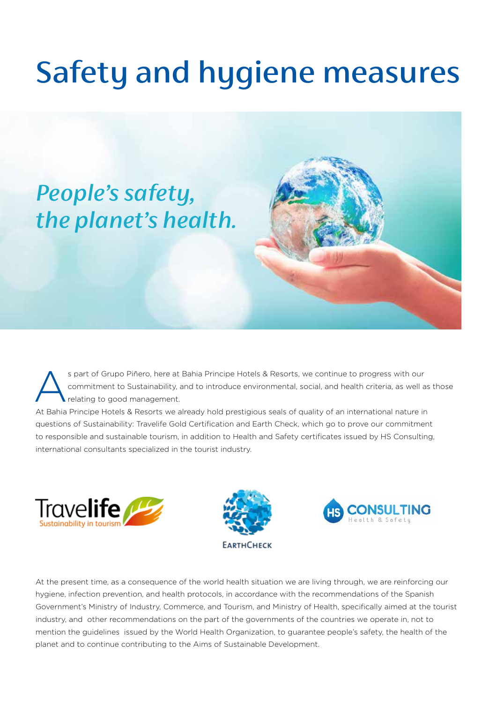# Safety and hygiene measures



s part of Grupo Piñero, here at Bahia Principe Hotels & Resorts, we continue to progress with our commitment to Sustainability, and to introduce environmental, social, and health criteria, as well a<br>relating to good manage commitment to Sustainability, and to introduce environmental, social, and health criteria, as well as those relating to good management.

At Bahia Principe Hotels & Resorts we already hold prestigious seals of quality of an international nature in questions of Sustainability: Travelife Gold Certification and Earth Check, which go to prove our commitment to responsible and sustainable tourism, in addition to Health and Safety certificates issued by HS Consulting, international consultants specialized in the tourist industry.







At the present time, as a consequence of the world health situation we are living through, we are reinforcing our hygiene, infection prevention, and health protocols, in accordance with the recommendations of the Spanish Government's Ministry of Industry, Commerce, and Tourism, and Ministry of Health, specifically aimed at the tourist industry, and other recommendations on the part of the governments of the countries we operate in, not to mention the guidelines issued by the World Health Organization, to guarantee people's safety, the health of the planet and to continue contributing to the Aims of Sustainable Development.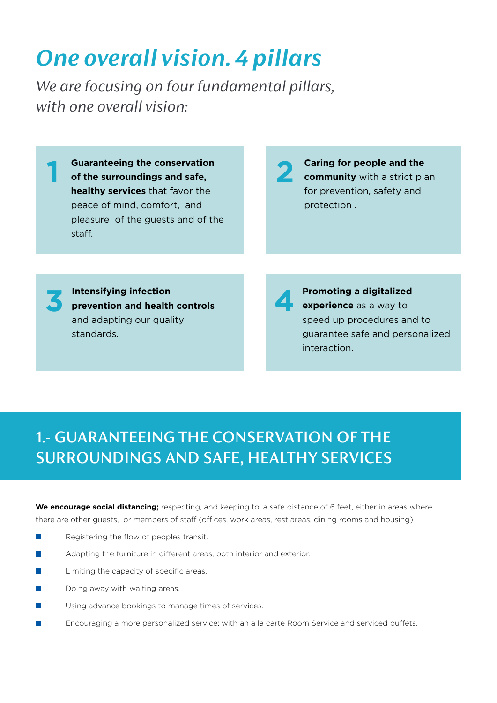# *One overall vision. 4 pillars*

*We are focusing on four fundamental pillars, with one overall vision:*

**Guaranteeing the conservation of the surroundings and safe, healthy services** that favor the peace of mind, comfort, and pleasure of the guests and of the staff. **1 2**

**Caring for people and the community** with a strict plan for prevention, safety and protection .

**Intensifying infection prevention and health controls** and adapting our quality standards. **3** Intensifying infection<br>**3** prevention and health controls



**Promoting a digitalized experience** as a way to speed up procedures and to guarantee safe and personalized interaction.

### 1.- GUARANTEEING THE CONSERVATION OF THE SURROUNDINGS AND SAFE, HEALTHY SERVICES

**We encourage social distancing;** respecting, and keeping to, a safe distance of 6 feet, either in areas where there are other guests, or members of staff (offices, work areas, rest areas, dining rooms and housing)

- Registering the flow of peoples transit.
- Adapting the furniture in different areas, both interior and exterior.  $\mathbb{R}^2$
- $\sim$ Limiting the capacity of specific areas.
- Doing away with waiting areas. P.
- Using advance bookings to manage times of services.
- Encouraging a more personalized service: with an a la carte Room Service and serviced buffets.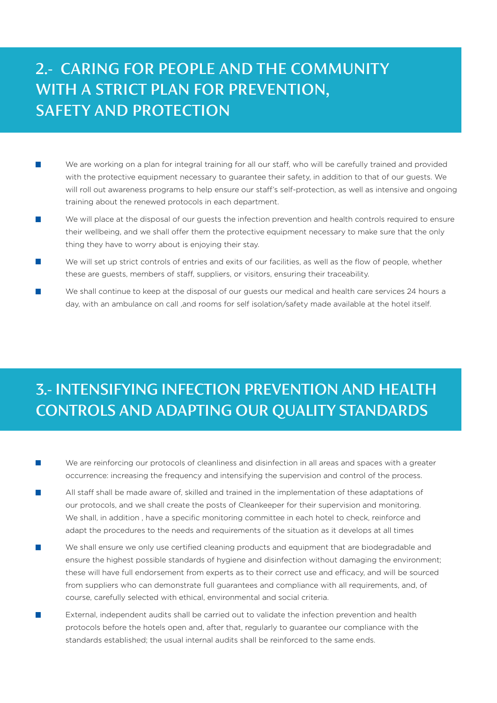#### 2.- CARING FOR PEOPLE AND THE COMMUNITY WITH A STRICT PLAN FOR PREVENTION, SAFETY AND PROTECTION

- We are working on a plan for integral training for all our staff, who will be carefully trained and provided with the protective equipment necessary to guarantee their safety, in addition to that of our guests. We will roll out awareness programs to help ensure our staff's self-protection, as well as intensive and ongoing training about the renewed protocols in each department.
- We will place at the disposal of our guests the infection prevention and health controls required to ensure their wellbeing, and we shall offer them the protective equipment necessary to make sure that the only thing they have to worry about is enjoying their stay.
- We will set up strict controls of entries and exits of our facilities, as well as the flow of people, whether these are guests, members of staff, suppliers, or visitors, ensuring their traceability.
- We shall continue to keep at the disposal of our guests our medical and health care services 24 hours a day, with an ambulance on call ,and rooms for self isolation/safety made available at the hotel itself.

### 3.- INTENSIFYING INFECTION PREVENTION AND HEALTH CONTROLS AND ADAPTING OUR QUALITY STANDARDS

- We are reinforcing our protocols of cleanliness and disinfection in all areas and spaces with a greater occurrence: increasing the frequency and intensifying the supervision and control of the process.
- All staff shall be made aware of, skilled and trained in the implementation of these adaptations of our protocols, and we shall create the posts of Cleankeeper for their supervision and monitoring. We shall, in addition, have a specific monitoring committee in each hotel to check, reinforce and adapt the procedures to the needs and requirements of the situation as it develops at all times
- We shall ensure we only use certified cleaning products and equipment that are biodegradable and ensure the highest possible standards of hygiene and disinfection without damaging the environment; these will have full endorsement from experts as to their correct use and efficacy, and will be sourced from suppliers who can demonstrate full guarantees and compliance with all requirements, and, of course, carefully selected with ethical, environmental and social criteria.
- External, independent audits shall be carried out to validate the infection prevention and health protocols before the hotels open and, after that, regularly to guarantee our compliance with the standards established; the usual internal audits shall be reinforced to the same ends.